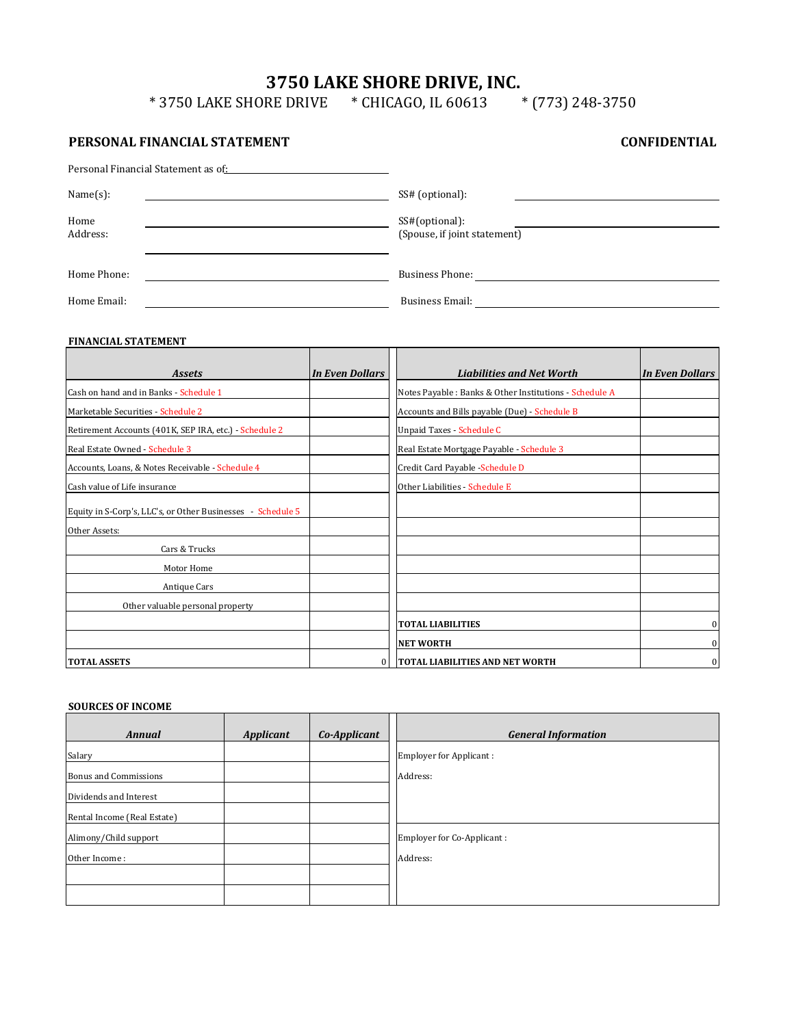# **3750 LAKE SHORE DRIVE, INC.**

\* 3750 LAKE SHORE DRIVE \* CHICAGO, IL 60613 \* (773) 248-3750

# **PERSONAL FINANCIAL STATEMENT**

**CONFIDENTIAL**

| Personal Financial Statement as of: National Statement as of: |                                                |
|---------------------------------------------------------------|------------------------------------------------|
| Name(s):                                                      | SS# (optional):                                |
| Home<br>Address:                                              | SS#(optional):<br>(Spouse, if joint statement) |
| Home Phone:                                                   | <b>Business Phone:</b>                         |
| Home Email:                                                   | <b>Business Email:</b>                         |

# **FINANCIAL STATEMENT**

| FINANCIAL STATEMENT                                         |                        |                                                         |                        |
|-------------------------------------------------------------|------------------------|---------------------------------------------------------|------------------------|
|                                                             |                        |                                                         |                        |
| <b>Assets</b>                                               | <b>In Even Dollars</b> | <b>Liabilities and Net Worth</b>                        | <b>In Even Dollars</b> |
| Cash on hand and in Banks - Schedule 1                      |                        | Notes Payable : Banks & Other Institutions - Schedule A |                        |
| Marketable Securities - Schedule 2                          |                        | Accounts and Bills payable (Due) - Schedule B           |                        |
| Retirement Accounts (401K, SEP IRA, etc.) - Schedule 2      |                        | Unpaid Taxes - Schedule C                               |                        |
| Real Estate Owned - Schedule 3                              |                        | Real Estate Mortgage Payable - Schedule 3               |                        |
| Accounts, Loans, & Notes Receivable - Schedule 4            |                        | Credit Card Payable - Schedule D                        |                        |
| Cash value of Life insurance                                |                        | Other Liabilities - Schedule E                          |                        |
| Equity in S-Corp's, LLC's, or Other Businesses - Schedule 5 |                        |                                                         |                        |
| Other Assets:                                               |                        |                                                         |                        |
| Cars & Trucks                                               |                        |                                                         |                        |
| Motor Home                                                  |                        |                                                         |                        |
| Antique Cars                                                |                        |                                                         |                        |
| Other valuable personal property                            |                        |                                                         |                        |
|                                                             |                        | <b>TOTAL LIABILITIES</b>                                | $\boldsymbol{0}$       |
|                                                             |                        | <b>NET WORTH</b>                                        | $\boldsymbol{0}$       |
| <b>TOTAL ASSETS</b>                                         | $\mathbf{0}$           | <b>TOTAL LIABILITIES AND NET WORTH</b>                  | $\bf{0}$               |

# **SOURCES OF INCOME**

| <b>SOURCES OF INCOME</b>     |                  |              |                                |
|------------------------------|------------------|--------------|--------------------------------|
| <b>Annual</b>                | <b>Applicant</b> | Co-Applicant | <b>General Information</b>     |
| Salary                       |                  |              | <b>Employer for Applicant:</b> |
| <b>Bonus and Commissions</b> |                  |              | Address:                       |
| Dividends and Interest       |                  |              |                                |
| Rental Income (Real Estate)  |                  |              |                                |
| Alimony/Child support        |                  |              | Employer for Co-Applicant:     |
| Other Income:                |                  |              | Address:                       |
|                              |                  |              |                                |
|                              |                  |              |                                |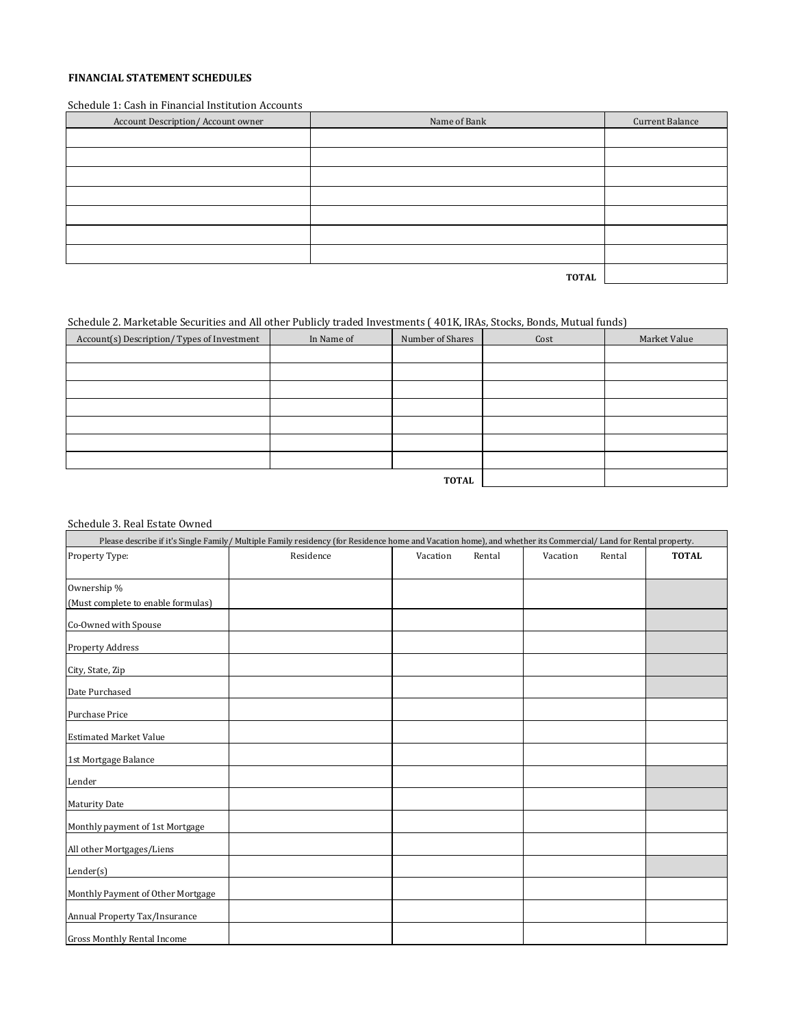#### **FINANCIAL STATEMENT SCHEDULES**

#### Schedule 1: Cash in Financial Institution Accounts

| Account Description/Account owner | Name of Bank | Current Balance |
|-----------------------------------|--------------|-----------------|
|                                   |              |                 |
|                                   |              |                 |
|                                   |              |                 |
|                                   |              |                 |
|                                   |              |                 |
|                                   |              |                 |
|                                   |              |                 |
|                                   | <b>TOTAL</b> |                 |

# Schedule 2. Marketable Securities and All other Publicly traded Investments ( 401K, IRAs, Stocks, Bonds, Mutual funds)

| Account(s) Description/Types of Investment | In Name of | Number of Shares | Cost | Market Value |
|--------------------------------------------|------------|------------------|------|--------------|
|                                            |            |                  |      |              |
|                                            |            |                  |      |              |
|                                            |            |                  |      |              |
|                                            |            |                  |      |              |
|                                            |            |                  |      |              |
|                                            |            |                  |      |              |
|                                            |            |                  |      |              |
|                                            |            | <b>TOTAL</b>     |      |              |

### Schedule 3. Real Estate Owned

|                                    | Please describe if it's Single Family/Multiple Family residency (for Residence home and Vacation home), and whether its Commercial/Land for Rental property. |          |        |          |        |              |
|------------------------------------|--------------------------------------------------------------------------------------------------------------------------------------------------------------|----------|--------|----------|--------|--------------|
| Property Type:                     | Residence                                                                                                                                                    | Vacation | Rental | Vacation | Rental | <b>TOTAL</b> |
| Ownership %                        |                                                                                                                                                              |          |        |          |        |              |
| (Must complete to enable formulas) |                                                                                                                                                              |          |        |          |        |              |
| Co-Owned with Spouse               |                                                                                                                                                              |          |        |          |        |              |
| <b>Property Address</b>            |                                                                                                                                                              |          |        |          |        |              |
| City, State, Zip                   |                                                                                                                                                              |          |        |          |        |              |
| Date Purchased                     |                                                                                                                                                              |          |        |          |        |              |
| <b>Purchase Price</b>              |                                                                                                                                                              |          |        |          |        |              |
| <b>Estimated Market Value</b>      |                                                                                                                                                              |          |        |          |        |              |
| 1st Mortgage Balance               |                                                                                                                                                              |          |        |          |        |              |
| Lender                             |                                                                                                                                                              |          |        |          |        |              |
| <b>Maturity Date</b>               |                                                                                                                                                              |          |        |          |        |              |
| Monthly payment of 1st Mortgage    |                                                                                                                                                              |          |        |          |        |              |
| All other Mortgages/Liens          |                                                                                                                                                              |          |        |          |        |              |
| Lender(s)                          |                                                                                                                                                              |          |        |          |        |              |
| Monthly Payment of Other Mortgage  |                                                                                                                                                              |          |        |          |        |              |
| Annual Property Tax/Insurance      |                                                                                                                                                              |          |        |          |        |              |
| Gross Monthly Rental Income        |                                                                                                                                                              |          |        |          |        |              |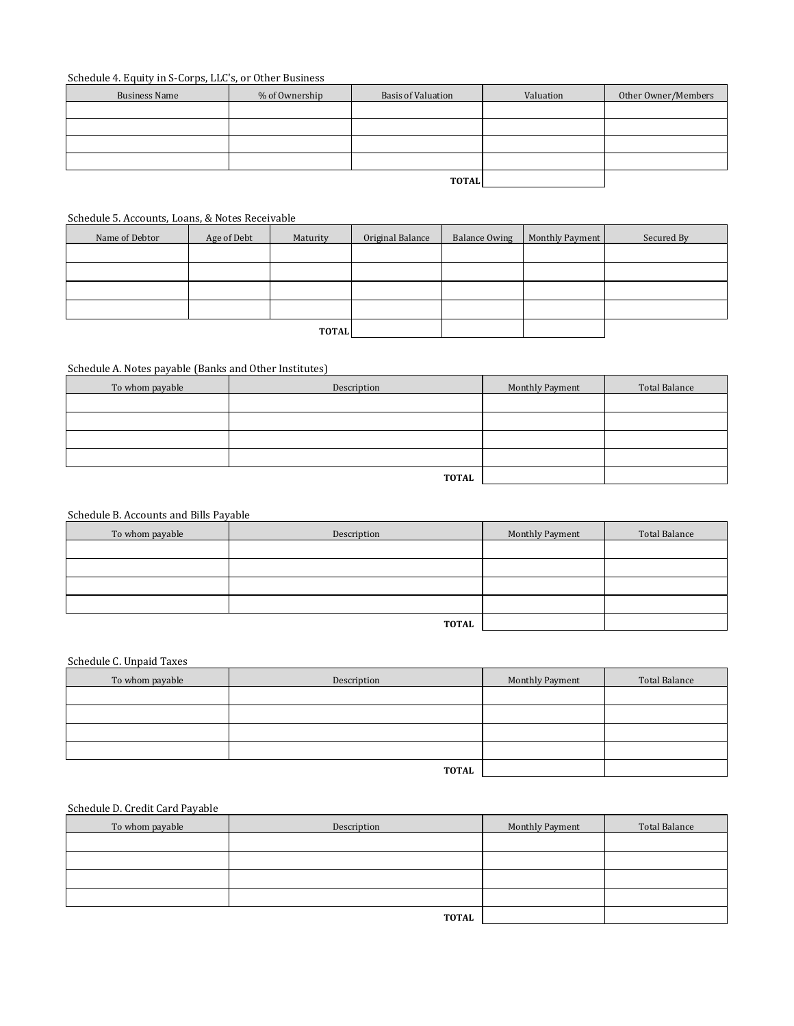### Schedule 4. Equity in S-Corps, LLC's, or Other Business

| <b>Business Name</b> | % of Ownership | <b>Basis of Valuation</b> | Valuation | Other Owner/Members |
|----------------------|----------------|---------------------------|-----------|---------------------|
|                      |                |                           |           |                     |
|                      |                |                           |           |                     |
|                      |                |                           |           |                     |
|                      |                |                           |           |                     |
|                      |                | <b>TOTAL</b>              |           |                     |

#### Schedule 5. Accounts, Loans, & Notes Receivable

| Name of Debtor | Age of Debt  | Maturity | Original Balance | <b>Balance Owing</b> | Monthly Payment | Secured By |
|----------------|--------------|----------|------------------|----------------------|-----------------|------------|
|                |              |          |                  |                      |                 |            |
|                |              |          |                  |                      |                 |            |
|                |              |          |                  |                      |                 |            |
|                |              |          |                  |                      |                 |            |
|                | <b>TOTAL</b> |          |                  |                      |                 |            |

## Schedule A. Notes payable (Banks and Other Institutes)

| To whom payable | Description  | Monthly Payment | Total Balance |
|-----------------|--------------|-----------------|---------------|
|                 |              |                 |               |
|                 |              |                 |               |
|                 |              |                 |               |
|                 |              |                 |               |
|                 | <b>TOTAL</b> |                 |               |

#### Schedule B. Accounts and Bills Payable

| To whom payable | Description  | Monthly Payment | Total Balance |
|-----------------|--------------|-----------------|---------------|
|                 |              |                 |               |
|                 |              |                 |               |
|                 |              |                 |               |
|                 |              |                 |               |
|                 | <b>TOTAL</b> |                 |               |

# Schedule C. Unpaid Taxes

| To whom payable | Description  | Monthly Payment | Total Balance |
|-----------------|--------------|-----------------|---------------|
|                 |              |                 |               |
|                 |              |                 |               |
|                 |              |                 |               |
|                 |              |                 |               |
|                 | <b>TOTAL</b> |                 |               |

### Schedule D. Credit Card Payable

| To whom payable | Description  | Monthly Payment | Total Balance |
|-----------------|--------------|-----------------|---------------|
|                 |              |                 |               |
|                 |              |                 |               |
|                 |              |                 |               |
|                 |              |                 |               |
|                 | <b>TOTAL</b> |                 |               |